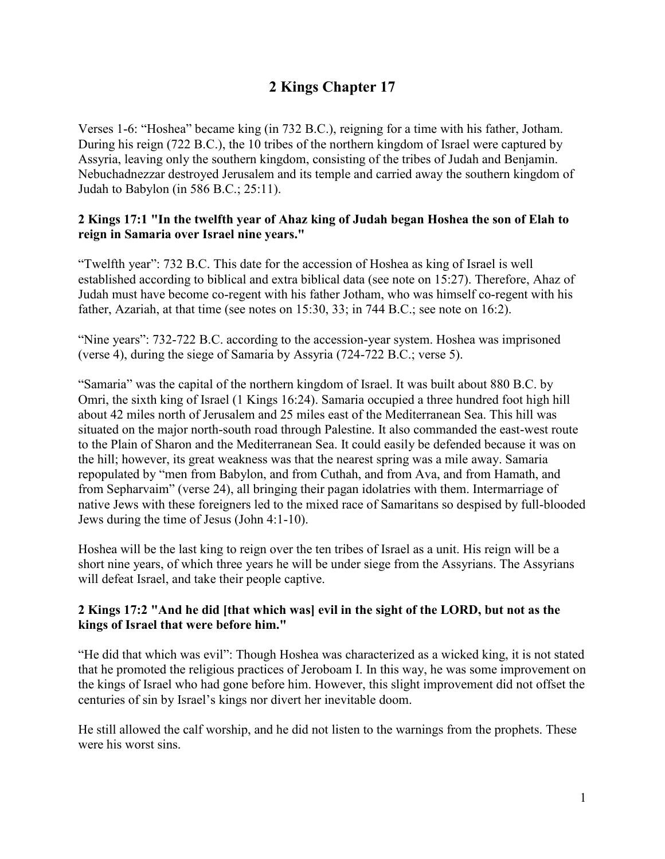# **2 Kings Chapter 17**

Verses 1-6: "Hoshea" became king (in 732 B.C.), reigning for a time with his father, Jotham. During his reign (722 B.C.), the 10 tribes of the northern kingdom of Israel were captured by Assyria, leaving only the southern kingdom, consisting of the tribes of Judah and Benjamin. Nebuchadnezzar destroyed Jerusalem and its temple and carried away the southern kingdom of Judah to Babylon (in 586 B.C.; 25:11).

#### **2 Kings 17:1 "In the twelfth year of Ahaz king of Judah began Hoshea the son of Elah to reign in Samaria over Israel nine years."**

"Twelfth year": 732 B.C. This date for the accession of Hoshea as king of Israel is well established according to biblical and extra biblical data (see note on 15:27). Therefore, Ahaz of Judah must have become co-regent with his father Jotham, who was himself co-regent with his father, Azariah, at that time (see notes on 15:30, 33; in 744 B.C.; see note on 16:2).

"Nine years": 732-722 B.C. according to the accession-year system. Hoshea was imprisoned (verse 4), during the siege of Samaria by Assyria (724-722 B.C.; verse 5).

"Samaria" was the capital of the northern kingdom of Israel. It was built about 880 B.C. by Omri, the sixth king of Israel (1 Kings 16:24). Samaria occupied a three hundred foot high hill about 42 miles north of Jerusalem and 25 miles east of the Mediterranean Sea. This hill was situated on the major north-south road through Palestine. It also commanded the east-west route to the Plain of Sharon and the Mediterranean Sea. It could easily be defended because it was on the hill; however, its great weakness was that the nearest spring was a mile away. Samaria repopulated by "men from Babylon, and from Cuthah, and from Ava, and from Hamath, and from Sepharvaim" (verse 24), all bringing their pagan idolatries with them. Intermarriage of native Jews with these foreigners led to the mixed race of Samaritans so despised by full-blooded Jews during the time of Jesus (John 4:1-10).

Hoshea will be the last king to reign over the ten tribes of Israel as a unit. His reign will be a short nine years, of which three years he will be under siege from the Assyrians. The Assyrians will defeat Israel, and take their people captive.

#### **2 Kings 17:2 "And he did [that which was] evil in the sight of the LORD, but not as the kings of Israel that were before him."**

"He did that which was evil": Though Hoshea was characterized as a wicked king, it is not stated that he promoted the religious practices of Jeroboam I. In this way, he was some improvement on the kings of Israel who had gone before him. However, this slight improvement did not offset the centuries of sin by Israel's kings nor divert her inevitable doom.

He still allowed the calf worship, and he did not listen to the warnings from the prophets. These were his worst sins.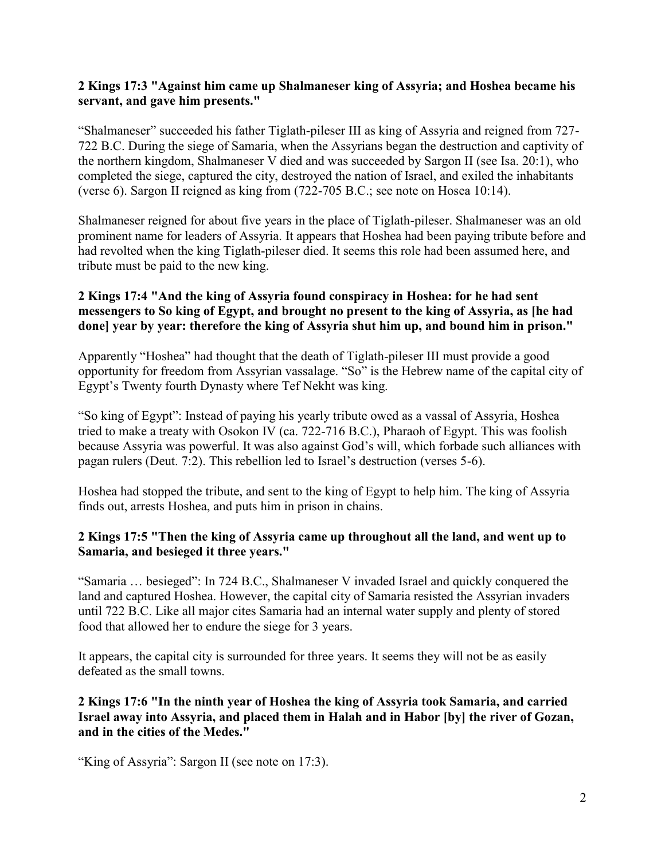#### **2 Kings 17:3 "Against him came up Shalmaneser king of Assyria; and Hoshea became his servant, and gave him presents."**

"Shalmaneser" succeeded his father Tiglath-pileser III as king of Assyria and reigned from 727- 722 B.C. During the siege of Samaria, when the Assyrians began the destruction and captivity of the northern kingdom, Shalmaneser V died and was succeeded by Sargon II (see Isa. 20:1), who completed the siege, captured the city, destroyed the nation of Israel, and exiled the inhabitants (verse 6). Sargon II reigned as king from (722-705 B.C.; see note on Hosea 10:14).

Shalmaneser reigned for about five years in the place of Tiglath-pileser. Shalmaneser was an old prominent name for leaders of Assyria. It appears that Hoshea had been paying tribute before and had revolted when the king Tiglath-pileser died. It seems this role had been assumed here, and tribute must be paid to the new king.

# **2 Kings 17:4 "And the king of Assyria found conspiracy in Hoshea: for he had sent messengers to So king of Egypt, and brought no present to the king of Assyria, as [he had done] year by year: therefore the king of Assyria shut him up, and bound him in prison."**

Apparently "Hoshea" had thought that the death of Tiglath-pileser III must provide a good opportunity for freedom from Assyrian vassalage. "So" is the Hebrew name of the capital city of Egypt's Twenty fourth Dynasty where Tef Nekht was king.

"So king of Egypt": Instead of paying his yearly tribute owed as a vassal of Assyria, Hoshea tried to make a treaty with Osokon IV (ca. 722-716 B.C.), Pharaoh of Egypt. This was foolish because Assyria was powerful. It was also against God's will, which forbade such alliances with pagan rulers (Deut. 7:2). This rebellion led to Israel's destruction (verses 5-6).

Hoshea had stopped the tribute, and sent to the king of Egypt to help him. The king of Assyria finds out, arrests Hoshea, and puts him in prison in chains.

#### **2 Kings 17:5 "Then the king of Assyria came up throughout all the land, and went up to Samaria, and besieged it three years."**

"Samaria … besieged": In 724 B.C., Shalmaneser V invaded Israel and quickly conquered the land and captured Hoshea. However, the capital city of Samaria resisted the Assyrian invaders until 722 B.C. Like all major cites Samaria had an internal water supply and plenty of stored food that allowed her to endure the siege for 3 years.

It appears, the capital city is surrounded for three years. It seems they will not be as easily defeated as the small towns.

**2 Kings 17:6 "In the ninth year of Hoshea the king of Assyria took Samaria, and carried Israel away into Assyria, and placed them in Halah and in Habor [by] the river of Gozan, and in the cities of the Medes."**

"King of Assyria": Sargon II (see note on 17:3).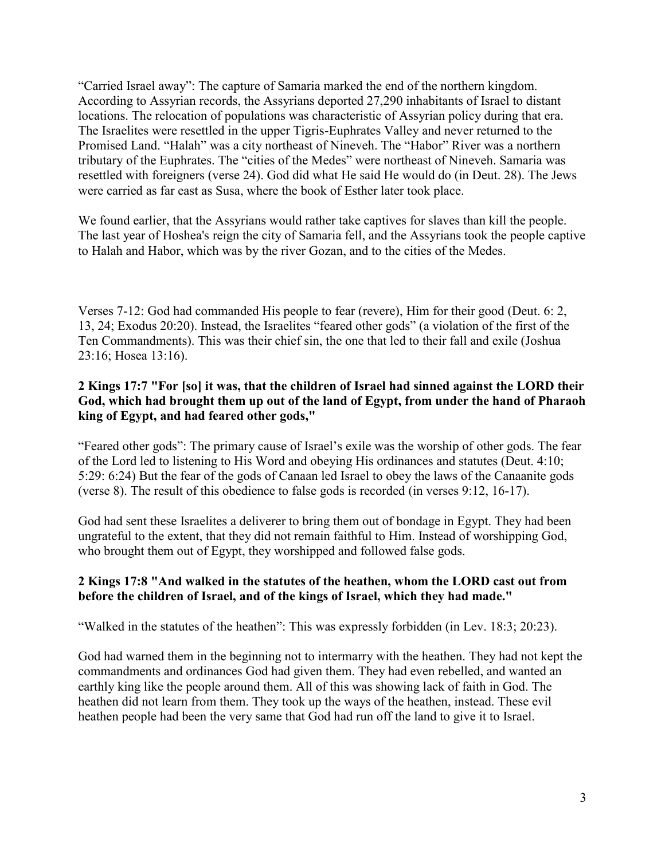"Carried Israel away": The capture of Samaria marked the end of the northern kingdom. According to Assyrian records, the Assyrians deported 27,290 inhabitants of Israel to distant locations. The relocation of populations was characteristic of Assyrian policy during that era. The Israelites were resettled in the upper Tigris-Euphrates Valley and never returned to the Promised Land. "Halah" was a city northeast of Nineveh. The "Habor" River was a northern tributary of the Euphrates. The "cities of the Medes" were northeast of Nineveh. Samaria was resettled with foreigners (verse 24). God did what He said He would do (in Deut. 28). The Jews were carried as far east as Susa, where the book of Esther later took place.

We found earlier, that the Assyrians would rather take captives for slaves than kill the people. The last year of Hoshea's reign the city of Samaria fell, and the Assyrians took the people captive to Halah and Habor, which was by the river Gozan, and to the cities of the Medes.

Verses 7-12: God had commanded His people to fear (revere), Him for their good (Deut. 6: 2, 13, 24; Exodus 20:20). Instead, the Israelites "feared other gods" (a violation of the first of the Ten Commandments). This was their chief sin, the one that led to their fall and exile (Joshua 23:16; Hosea 13:16).

# **2 Kings 17:7 "For [so] it was, that the children of Israel had sinned against the LORD their God, which had brought them up out of the land of Egypt, from under the hand of Pharaoh king of Egypt, and had feared other gods,"**

"Feared other gods": The primary cause of Israel's exile was the worship of other gods. The fear of the Lord led to listening to His Word and obeying His ordinances and statutes (Deut. 4:10; 5:29: 6:24) But the fear of the gods of Canaan led Israel to obey the laws of the Canaanite gods (verse 8). The result of this obedience to false gods is recorded (in verses 9:12, 16-17).

God had sent these Israelites a deliverer to bring them out of bondage in Egypt. They had been ungrateful to the extent, that they did not remain faithful to Him. Instead of worshipping God, who brought them out of Egypt, they worshipped and followed false gods.

# **2 Kings 17:8 "And walked in the statutes of the heathen, whom the LORD cast out from before the children of Israel, and of the kings of Israel, which they had made."**

"Walked in the statutes of the heathen": This was expressly forbidden (in Lev. 18:3; 20:23).

God had warned them in the beginning not to intermarry with the heathen. They had not kept the commandments and ordinances God had given them. They had even rebelled, and wanted an earthly king like the people around them. All of this was showing lack of faith in God. The heathen did not learn from them. They took up the ways of the heathen, instead. These evil heathen people had been the very same that God had run off the land to give it to Israel.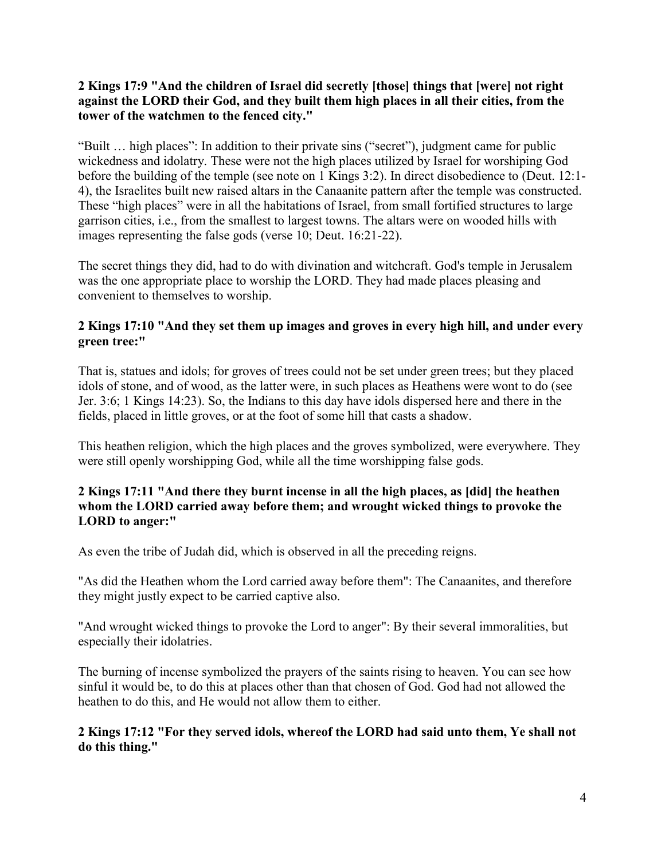# **2 Kings 17:9 "And the children of Israel did secretly [those] things that [were] not right against the LORD their God, and they built them high places in all their cities, from the tower of the watchmen to the fenced city."**

"Built … high places": In addition to their private sins ("secret"), judgment came for public wickedness and idolatry. These were not the high places utilized by Israel for worshiping God before the building of the temple (see note on 1 Kings 3:2). In direct disobedience to (Deut. 12:1- 4), the Israelites built new raised altars in the Canaanite pattern after the temple was constructed. These "high places" were in all the habitations of Israel, from small fortified structures to large garrison cities, i.e., from the smallest to largest towns. The altars were on wooded hills with images representing the false gods (verse 10; Deut. 16:21-22).

The secret things they did, had to do with divination and witchcraft. God's temple in Jerusalem was the one appropriate place to worship the LORD. They had made places pleasing and convenient to themselves to worship.

# **2 Kings 17:10 "And they set them up images and groves in every high hill, and under every green tree:"**

That is, statues and idols; for groves of trees could not be set under green trees; but they placed idols of stone, and of wood, as the latter were, in such places as Heathens were wont to do (see Jer. 3:6; 1 Kings 14:23). So, the Indians to this day have idols dispersed here and there in the fields, placed in little groves, or at the foot of some hill that casts a shadow.

This heathen religion, which the high places and the groves symbolized, were everywhere. They were still openly worshipping God, while all the time worshipping false gods.

# **2 Kings 17:11 "And there they burnt incense in all the high places, as [did] the heathen whom the LORD carried away before them; and wrought wicked things to provoke the LORD to anger:"**

As even the tribe of Judah did, which is observed in all the preceding reigns.

"As did the Heathen whom the Lord carried away before them": The Canaanites, and therefore they might justly expect to be carried captive also.

"And wrought wicked things to provoke the Lord to anger": By their several immoralities, but especially their idolatries.

The burning of incense symbolized the prayers of the saints rising to heaven. You can see how sinful it would be, to do this at places other than that chosen of God. God had not allowed the heathen to do this, and He would not allow them to either.

# **2 Kings 17:12 "For they served idols, whereof the LORD had said unto them, Ye shall not do this thing."**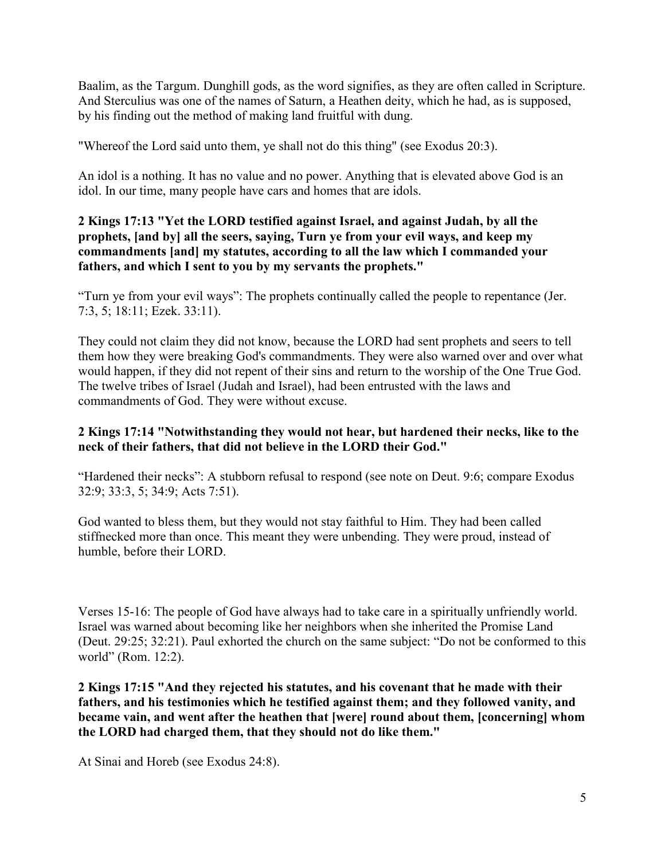Baalim, as the Targum. Dunghill gods, as the word signifies, as they are often called in Scripture. And Sterculius was one of the names of Saturn, a Heathen deity, which he had, as is supposed, by his finding out the method of making land fruitful with dung.

"Whereof the Lord said unto them, ye shall not do this thing" (see Exodus 20:3).

An idol is a nothing. It has no value and no power. Anything that is elevated above God is an idol. In our time, many people have cars and homes that are idols.

# **2 Kings 17:13 "Yet the LORD testified against Israel, and against Judah, by all the prophets, [and by] all the seers, saying, Turn ye from your evil ways, and keep my commandments [and] my statutes, according to all the law which I commanded your fathers, and which I sent to you by my servants the prophets."**

"Turn ye from your evil ways": The prophets continually called the people to repentance (Jer. 7:3, 5; 18:11; Ezek. 33:11).

They could not claim they did not know, because the LORD had sent prophets and seers to tell them how they were breaking God's commandments. They were also warned over and over what would happen, if they did not repent of their sins and return to the worship of the One True God. The twelve tribes of Israel (Judah and Israel), had been entrusted with the laws and commandments of God. They were without excuse.

# **2 Kings 17:14 "Notwithstanding they would not hear, but hardened their necks, like to the neck of their fathers, that did not believe in the LORD their God."**

"Hardened their necks": A stubborn refusal to respond (see note on Deut. 9:6; compare Exodus 32:9; 33:3, 5; 34:9; Acts 7:51).

God wanted to bless them, but they would not stay faithful to Him. They had been called stiffnecked more than once. This meant they were unbending. They were proud, instead of humble, before their LORD.

Verses 15-16: The people of God have always had to take care in a spiritually unfriendly world. Israel was warned about becoming like her neighbors when she inherited the Promise Land (Deut. 29:25; 32:21). Paul exhorted the church on the same subject: "Do not be conformed to this world" (Rom. 12:2).

**2 Kings 17:15 "And they rejected his statutes, and his covenant that he made with their fathers, and his testimonies which he testified against them; and they followed vanity, and became vain, and went after the heathen that [were] round about them, [concerning] whom the LORD had charged them, that they should not do like them."**

At Sinai and Horeb (see Exodus 24:8).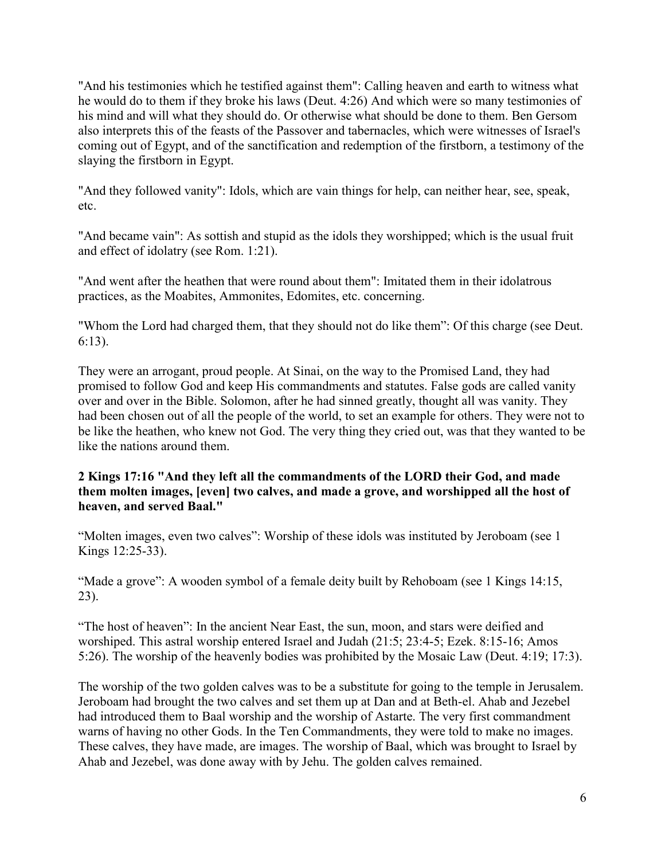"And his testimonies which he testified against them": Calling heaven and earth to witness what he would do to them if they broke his laws (Deut. 4:26) And which were so many testimonies of his mind and will what they should do. Or otherwise what should be done to them. Ben Gersom also interprets this of the feasts of the Passover and tabernacles, which were witnesses of Israel's coming out of Egypt, and of the sanctification and redemption of the firstborn, a testimony of the slaying the firstborn in Egypt.

"And they followed vanity": Idols, which are vain things for help, can neither hear, see, speak, etc.

"And became vain": As sottish and stupid as the idols they worshipped; which is the usual fruit and effect of idolatry (see Rom. 1:21).

"And went after the heathen that were round about them": Imitated them in their idolatrous practices, as the Moabites, Ammonites, Edomites, etc. concerning.

"Whom the Lord had charged them, that they should not do like them": Of this charge (see Deut. 6:13).

They were an arrogant, proud people. At Sinai, on the way to the Promised Land, they had promised to follow God and keep His commandments and statutes. False gods are called vanity over and over in the Bible. Solomon, after he had sinned greatly, thought all was vanity. They had been chosen out of all the people of the world, to set an example for others. They were not to be like the heathen, who knew not God. The very thing they cried out, was that they wanted to be like the nations around them.

#### **2 Kings 17:16 "And they left all the commandments of the LORD their God, and made them molten images, [even] two calves, and made a grove, and worshipped all the host of heaven, and served Baal."**

"Molten images, even two calves": Worship of these idols was instituted by Jeroboam (see 1 Kings 12:25-33).

"Made a grove": A wooden symbol of a female deity built by Rehoboam (see 1 Kings 14:15, 23).

"The host of heaven": In the ancient Near East, the sun, moon, and stars were deified and worshiped. This astral worship entered Israel and Judah (21:5; 23:4-5; Ezek. 8:15-16; Amos 5:26). The worship of the heavenly bodies was prohibited by the Mosaic Law (Deut. 4:19; 17:3).

The worship of the two golden calves was to be a substitute for going to the temple in Jerusalem. Jeroboam had brought the two calves and set them up at Dan and at Beth-el. Ahab and Jezebel had introduced them to Baal worship and the worship of Astarte. The very first commandment warns of having no other Gods. In the Ten Commandments, they were told to make no images. These calves, they have made, are images. The worship of Baal, which was brought to Israel by Ahab and Jezebel, was done away with by Jehu. The golden calves remained.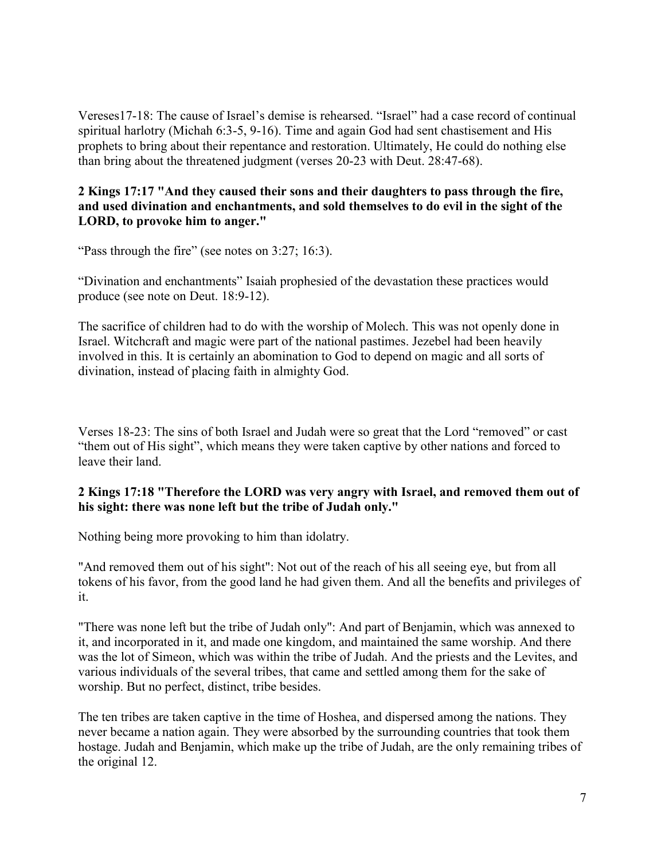Vereses17-18: The cause of Israel's demise is rehearsed. "Israel" had a case record of continual spiritual harlotry (Michah 6:3-5, 9-16). Time and again God had sent chastisement and His prophets to bring about their repentance and restoration. Ultimately, He could do nothing else than bring about the threatened judgment (verses 20-23 with Deut. 28:47-68).

#### **2 Kings 17:17 "And they caused their sons and their daughters to pass through the fire, and used divination and enchantments, and sold themselves to do evil in the sight of the LORD, to provoke him to anger."**

"Pass through the fire" (see notes on 3:27; 16:3).

"Divination and enchantments" Isaiah prophesied of the devastation these practices would produce (see note on Deut. 18:9-12).

The sacrifice of children had to do with the worship of Molech. This was not openly done in Israel. Witchcraft and magic were part of the national pastimes. Jezebel had been heavily involved in this. It is certainly an abomination to God to depend on magic and all sorts of divination, instead of placing faith in almighty God.

Verses 18-23: The sins of both Israel and Judah were so great that the Lord "removed" or cast "them out of His sight", which means they were taken captive by other nations and forced to leave their land.

#### **2 Kings 17:18 "Therefore the LORD was very angry with Israel, and removed them out of his sight: there was none left but the tribe of Judah only."**

Nothing being more provoking to him than idolatry.

"And removed them out of his sight": Not out of the reach of his all seeing eye, but from all tokens of his favor, from the good land he had given them. And all the benefits and privileges of it.

"There was none left but the tribe of Judah only": And part of Benjamin, which was annexed to it, and incorporated in it, and made one kingdom, and maintained the same worship. And there was the lot of Simeon, which was within the tribe of Judah. And the priests and the Levites, and various individuals of the several tribes, that came and settled among them for the sake of worship. But no perfect, distinct, tribe besides.

The ten tribes are taken captive in the time of Hoshea, and dispersed among the nations. They never became a nation again. They were absorbed by the surrounding countries that took them hostage. Judah and Benjamin, which make up the tribe of Judah, are the only remaining tribes of the original 12.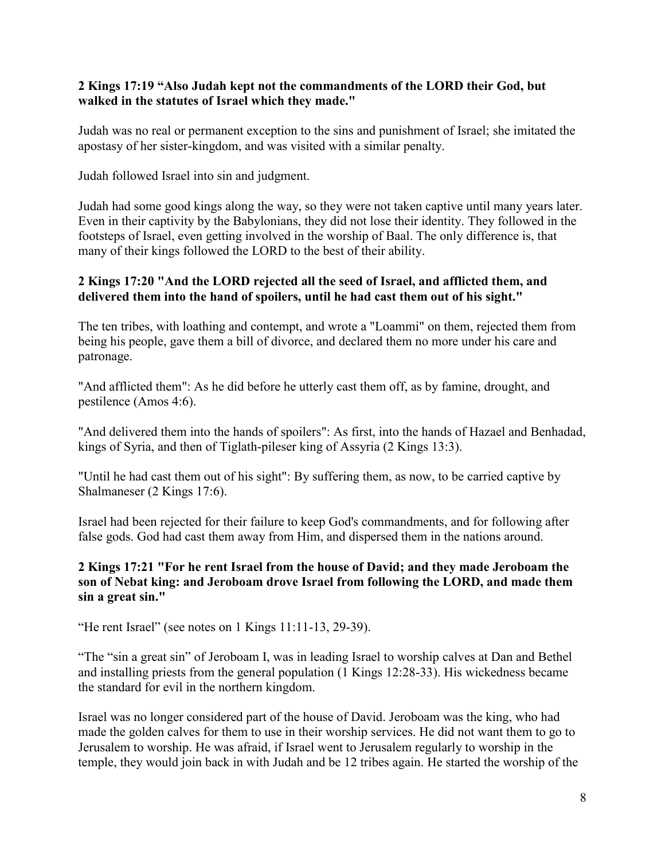#### **2 Kings 17:19 "Also Judah kept not the commandments of the LORD their God, but walked in the statutes of Israel which they made."**

Judah was no real or permanent exception to the sins and punishment of Israel; she imitated the apostasy of her sister-kingdom, and was visited with a similar penalty.

Judah followed Israel into sin and judgment.

Judah had some good kings along the way, so they were not taken captive until many years later. Even in their captivity by the Babylonians, they did not lose their identity. They followed in the footsteps of Israel, even getting involved in the worship of Baal. The only difference is, that many of their kings followed the LORD to the best of their ability.

# **2 Kings 17:20 "And the LORD rejected all the seed of Israel, and afflicted them, and delivered them into the hand of spoilers, until he had cast them out of his sight."**

The ten tribes, with loathing and contempt, and wrote a "Loammi" on them, rejected them from being his people, gave them a bill of divorce, and declared them no more under his care and patronage.

"And afflicted them": As he did before he utterly cast them off, as by famine, drought, and pestilence (Amos 4:6).

"And delivered them into the hands of spoilers": As first, into the hands of Hazael and Benhadad, kings of Syria, and then of Tiglath-pileser king of Assyria (2 Kings 13:3).

"Until he had cast them out of his sight": By suffering them, as now, to be carried captive by Shalmaneser (2 Kings 17:6).

Israel had been rejected for their failure to keep God's commandments, and for following after false gods. God had cast them away from Him, and dispersed them in the nations around.

# **2 Kings 17:21 "For he rent Israel from the house of David; and they made Jeroboam the son of Nebat king: and Jeroboam drove Israel from following the LORD, and made them sin a great sin."**

"He rent Israel" (see notes on 1 Kings 11:11-13, 29-39).

"The "sin a great sin" of Jeroboam I, was in leading Israel to worship calves at Dan and Bethel and installing priests from the general population (1 Kings 12:28-33). His wickedness became the standard for evil in the northern kingdom.

Israel was no longer considered part of the house of David. Jeroboam was the king, who had made the golden calves for them to use in their worship services. He did not want them to go to Jerusalem to worship. He was afraid, if Israel went to Jerusalem regularly to worship in the temple, they would join back in with Judah and be 12 tribes again. He started the worship of the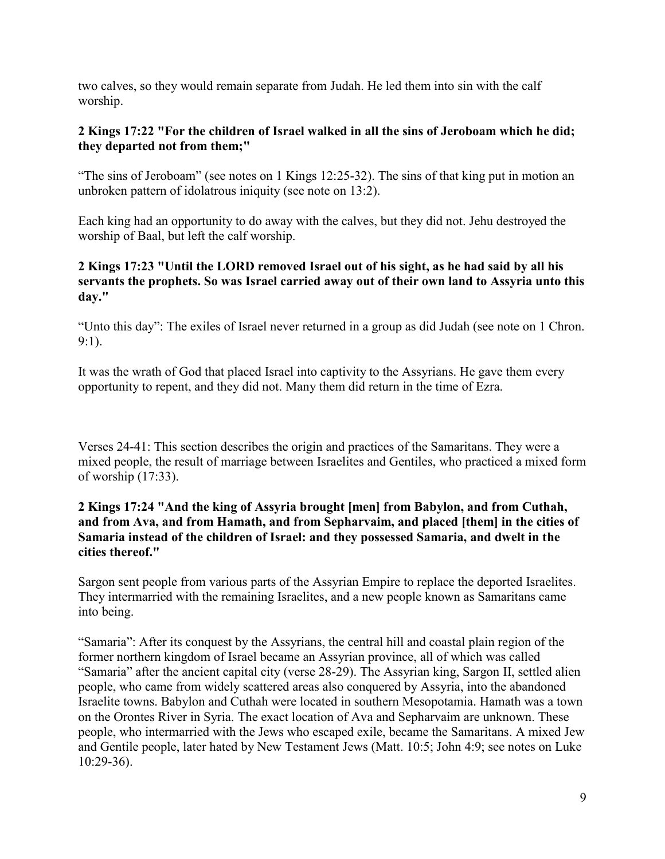two calves, so they would remain separate from Judah. He led them into sin with the calf worship.

# **2 Kings 17:22 "For the children of Israel walked in all the sins of Jeroboam which he did; they departed not from them;"**

"The sins of Jeroboam" (see notes on 1 Kings 12:25-32). The sins of that king put in motion an unbroken pattern of idolatrous iniquity (see note on 13:2).

Each king had an opportunity to do away with the calves, but they did not. Jehu destroyed the worship of Baal, but left the calf worship.

# **2 Kings 17:23 "Until the LORD removed Israel out of his sight, as he had said by all his servants the prophets. So was Israel carried away out of their own land to Assyria unto this day."**

"Unto this day": The exiles of Israel never returned in a group as did Judah (see note on 1 Chron. 9:1).

It was the wrath of God that placed Israel into captivity to the Assyrians. He gave them every opportunity to repent, and they did not. Many them did return in the time of Ezra.

Verses 24-41: This section describes the origin and practices of the Samaritans. They were a mixed people, the result of marriage between Israelites and Gentiles, who practiced a mixed form of worship (17:33).

# **2 Kings 17:24 "And the king of Assyria brought [men] from Babylon, and from Cuthah, and from Ava, and from Hamath, and from Sepharvaim, and placed [them] in the cities of Samaria instead of the children of Israel: and they possessed Samaria, and dwelt in the cities thereof."**

Sargon sent people from various parts of the Assyrian Empire to replace the deported Israelites. They intermarried with the remaining Israelites, and a new people known as Samaritans came into being.

"Samaria": After its conquest by the Assyrians, the central hill and coastal plain region of the former northern kingdom of Israel became an Assyrian province, all of which was called "Samaria" after the ancient capital city (verse 28-29). The Assyrian king, Sargon II, settled alien people, who came from widely scattered areas also conquered by Assyria, into the abandoned Israelite towns. Babylon and Cuthah were located in southern Mesopotamia. Hamath was a town on the Orontes River in Syria. The exact location of Ava and Sepharvaim are unknown. These people, who intermarried with the Jews who escaped exile, became the Samaritans. A mixed Jew and Gentile people, later hated by New Testament Jews (Matt. 10:5; John 4:9; see notes on Luke 10:29-36).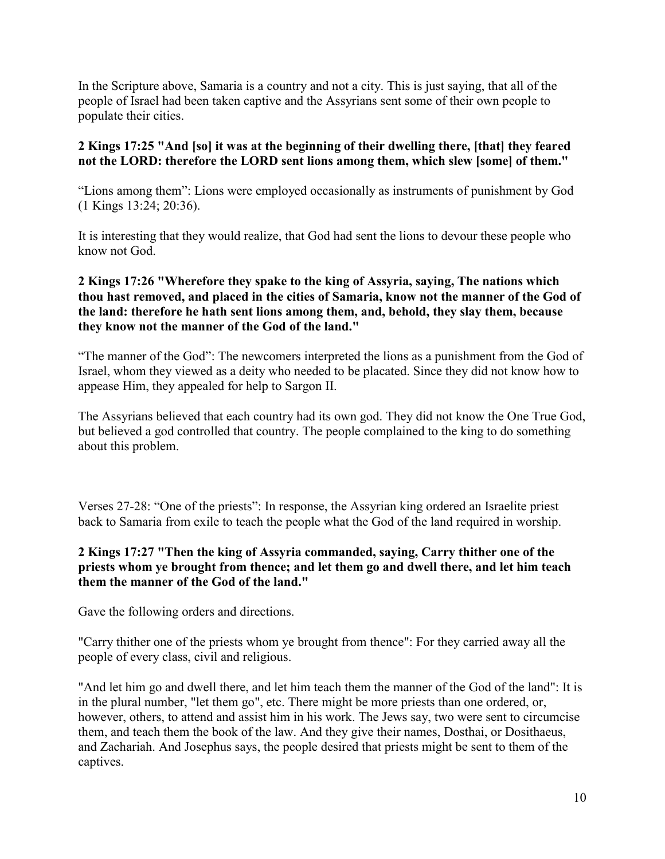In the Scripture above, Samaria is a country and not a city. This is just saying, that all of the people of Israel had been taken captive and the Assyrians sent some of their own people to populate their cities.

# **2 Kings 17:25 "And [so] it was at the beginning of their dwelling there, [that] they feared not the LORD: therefore the LORD sent lions among them, which slew [some] of them."**

"Lions among them": Lions were employed occasionally as instruments of punishment by God (1 Kings 13:24; 20:36).

It is interesting that they would realize, that God had sent the lions to devour these people who know not God.

# **2 Kings 17:26 "Wherefore they spake to the king of Assyria, saying, The nations which thou hast removed, and placed in the cities of Samaria, know not the manner of the God of the land: therefore he hath sent lions among them, and, behold, they slay them, because they know not the manner of the God of the land."**

"The manner of the God": The newcomers interpreted the lions as a punishment from the God of Israel, whom they viewed as a deity who needed to be placated. Since they did not know how to appease Him, they appealed for help to Sargon II.

The Assyrians believed that each country had its own god. They did not know the One True God, but believed a god controlled that country. The people complained to the king to do something about this problem.

Verses 27-28: "One of the priests": In response, the Assyrian king ordered an Israelite priest back to Samaria from exile to teach the people what the God of the land required in worship.

# **2 Kings 17:27 "Then the king of Assyria commanded, saying, Carry thither one of the priests whom ye brought from thence; and let them go and dwell there, and let him teach them the manner of the God of the land."**

Gave the following orders and directions.

"Carry thither one of the priests whom ye brought from thence": For they carried away all the people of every class, civil and religious.

"And let him go and dwell there, and let him teach them the manner of the God of the land": It is in the plural number, "let them go", etc. There might be more priests than one ordered, or, however, others, to attend and assist him in his work. The Jews say, two were sent to circumcise them, and teach them the book of the law. And they give their names, Dosthai, or Dosithaeus, and Zachariah. And Josephus says, the people desired that priests might be sent to them of the captives.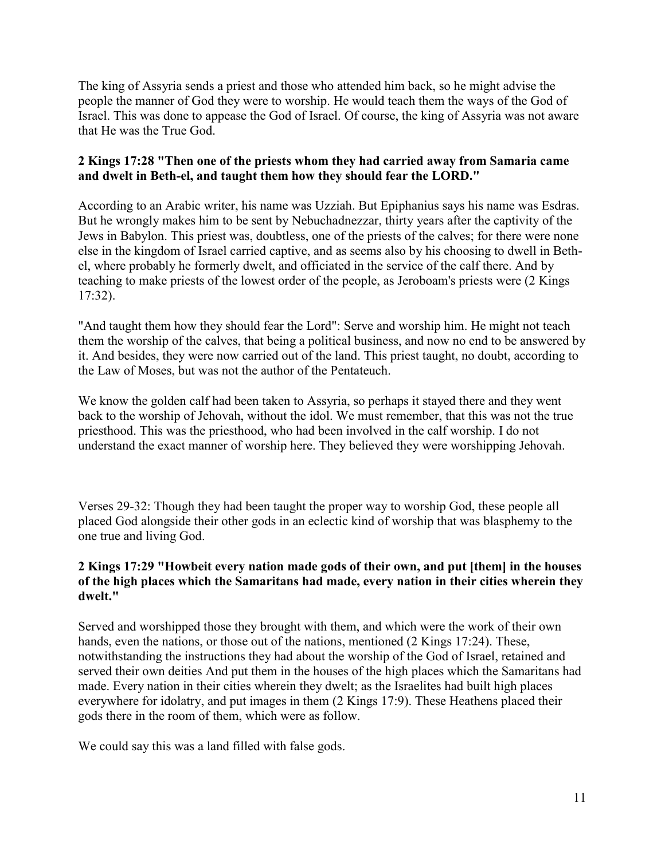The king of Assyria sends a priest and those who attended him back, so he might advise the people the manner of God they were to worship. He would teach them the ways of the God of Israel. This was done to appease the God of Israel. Of course, the king of Assyria was not aware that He was the True God.

# **2 Kings 17:28 "Then one of the priests whom they had carried away from Samaria came and dwelt in Beth-el, and taught them how they should fear the LORD."**

According to an Arabic writer, his name was Uzziah. But Epiphanius says his name was Esdras. But he wrongly makes him to be sent by Nebuchadnezzar, thirty years after the captivity of the Jews in Babylon. This priest was, doubtless, one of the priests of the calves; for there were none else in the kingdom of Israel carried captive, and as seems also by his choosing to dwell in Bethel, where probably he formerly dwelt, and officiated in the service of the calf there. And by teaching to make priests of the lowest order of the people, as Jeroboam's priests were (2 Kings 17:32).

"And taught them how they should fear the Lord": Serve and worship him. He might not teach them the worship of the calves, that being a political business, and now no end to be answered by it. And besides, they were now carried out of the land. This priest taught, no doubt, according to the Law of Moses, but was not the author of the Pentateuch.

We know the golden calf had been taken to Assyria, so perhaps it stayed there and they went back to the worship of Jehovah, without the idol. We must remember, that this was not the true priesthood. This was the priesthood, who had been involved in the calf worship. I do not understand the exact manner of worship here. They believed they were worshipping Jehovah.

Verses 29-32: Though they had been taught the proper way to worship God, these people all placed God alongside their other gods in an eclectic kind of worship that was blasphemy to the one true and living God.

#### **2 Kings 17:29 "Howbeit every nation made gods of their own, and put [them] in the houses of the high places which the Samaritans had made, every nation in their cities wherein they dwelt."**

Served and worshipped those they brought with them, and which were the work of their own hands, even the nations, or those out of the nations, mentioned (2 Kings 17:24). These, notwithstanding the instructions they had about the worship of the God of Israel, retained and served their own deities And put them in the houses of the high places which the Samaritans had made. Every nation in their cities wherein they dwelt; as the Israelites had built high places everywhere for idolatry, and put images in them (2 Kings 17:9). These Heathens placed their gods there in the room of them, which were as follow.

We could say this was a land filled with false gods.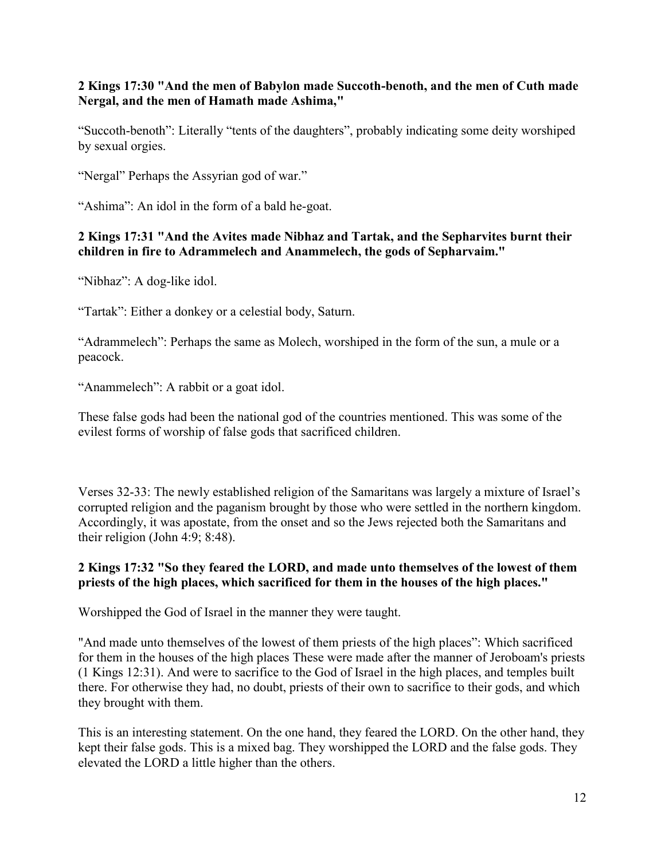# **2 Kings 17:30 "And the men of Babylon made Succoth-benoth, and the men of Cuth made Nergal, and the men of Hamath made Ashima,"**

"Succoth-benoth": Literally "tents of the daughters", probably indicating some deity worshiped by sexual orgies.

"Nergal" Perhaps the Assyrian god of war."

"Ashima": An idol in the form of a bald he-goat.

#### **2 Kings 17:31 "And the Avites made Nibhaz and Tartak, and the Sepharvites burnt their children in fire to Adrammelech and Anammelech, the gods of Sepharvaim."**

"Nibhaz": A dog-like idol.

"Tartak": Either a donkey or a celestial body, Saturn.

"Adrammelech": Perhaps the same as Molech, worshiped in the form of the sun, a mule or a peacock.

"Anammelech": A rabbit or a goat idol.

These false gods had been the national god of the countries mentioned. This was some of the evilest forms of worship of false gods that sacrificed children.

Verses 32-33: The newly established religion of the Samaritans was largely a mixture of Israel's corrupted religion and the paganism brought by those who were settled in the northern kingdom. Accordingly, it was apostate, from the onset and so the Jews rejected both the Samaritans and their religion (John 4:9; 8:48).

#### **2 Kings 17:32 "So they feared the LORD, and made unto themselves of the lowest of them priests of the high places, which sacrificed for them in the houses of the high places."**

Worshipped the God of Israel in the manner they were taught.

"And made unto themselves of the lowest of them priests of the high places": Which sacrificed for them in the houses of the high places These were made after the manner of Jeroboam's priests (1 Kings 12:31). And were to sacrifice to the God of Israel in the high places, and temples built there. For otherwise they had, no doubt, priests of their own to sacrifice to their gods, and which they brought with them.

This is an interesting statement. On the one hand, they feared the LORD. On the other hand, they kept their false gods. This is a mixed bag. They worshipped the LORD and the false gods. They elevated the LORD a little higher than the others.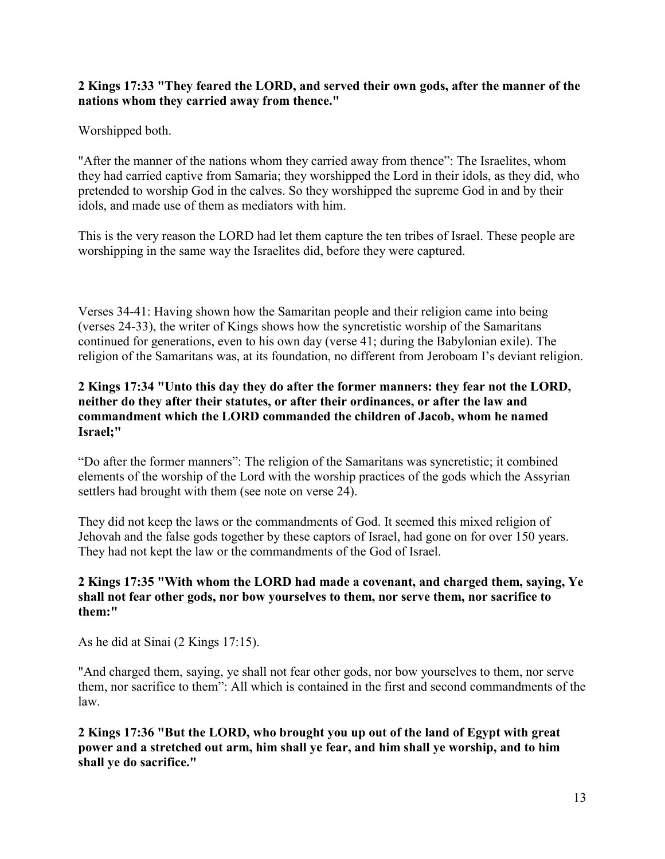#### **2 Kings 17:33 "They feared the LORD, and served their own gods, after the manner of the nations whom they carried away from thence."**

Worshipped both.

"After the manner of the nations whom they carried away from thence": The Israelites, whom they had carried captive from Samaria; they worshipped the Lord in their idols, as they did, who pretended to worship God in the calves. So they worshipped the supreme God in and by their idols, and made use of them as mediators with him.

This is the very reason the LORD had let them capture the ten tribes of Israel. These people are worshipping in the same way the Israelites did, before they were captured.

Verses 34-41: Having shown how the Samaritan people and their religion came into being (verses 24-33), the writer of Kings shows how the syncretistic worship of the Samaritans continued for generations, even to his own day (verse 41; during the Babylonian exile). The religion of the Samaritans was, at its foundation, no different from Jeroboam I's deviant religion.

#### **2 Kings 17:34 "Unto this day they do after the former manners: they fear not the LORD, neither do they after their statutes, or after their ordinances, or after the law and commandment which the LORD commanded the children of Jacob, whom he named Israel;"**

"Do after the former manners": The religion of the Samaritans was syncretistic; it combined elements of the worship of the Lord with the worship practices of the gods which the Assyrian settlers had brought with them (see note on verse 24).

They did not keep the laws or the commandments of God. It seemed this mixed religion of Jehovah and the false gods together by these captors of Israel, had gone on for over 150 years. They had not kept the law or the commandments of the God of Israel.

#### **2 Kings 17:35 "With whom the LORD had made a covenant, and charged them, saying, Ye shall not fear other gods, nor bow yourselves to them, nor serve them, nor sacrifice to them:"**

As he did at Sinai (2 Kings 17:15).

"And charged them, saying, ye shall not fear other gods, nor bow yourselves to them, nor serve them, nor sacrifice to them": All which is contained in the first and second commandments of the law.

**2 Kings 17:36 "But the LORD, who brought you up out of the land of Egypt with great power and a stretched out arm, him shall ye fear, and him shall ye worship, and to him shall ye do sacrifice."**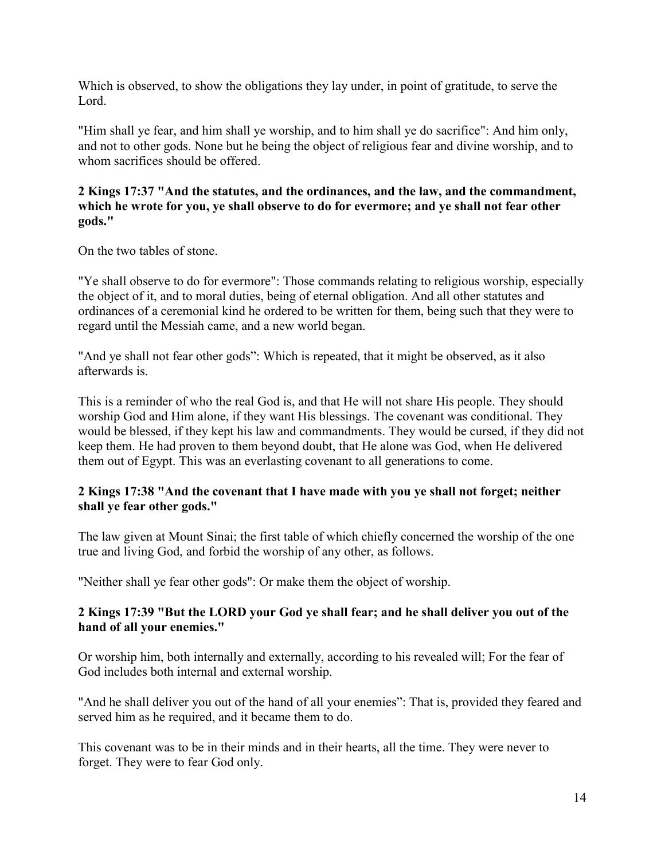Which is observed, to show the obligations they lay under, in point of gratitude, to serve the Lord.

"Him shall ye fear, and him shall ye worship, and to him shall ye do sacrifice": And him only, and not to other gods. None but he being the object of religious fear and divine worship, and to whom sacrifices should be offered.

#### **2 Kings 17:37 "And the statutes, and the ordinances, and the law, and the commandment, which he wrote for you, ye shall observe to do for evermore; and ye shall not fear other gods."**

On the two tables of stone.

"Ye shall observe to do for evermore": Those commands relating to religious worship, especially the object of it, and to moral duties, being of eternal obligation. And all other statutes and ordinances of a ceremonial kind he ordered to be written for them, being such that they were to regard until the Messiah came, and a new world began.

"And ye shall not fear other gods": Which is repeated, that it might be observed, as it also afterwards is.

This is a reminder of who the real God is, and that He will not share His people. They should worship God and Him alone, if they want His blessings. The covenant was conditional. They would be blessed, if they kept his law and commandments. They would be cursed, if they did not keep them. He had proven to them beyond doubt, that He alone was God, when He delivered them out of Egypt. This was an everlasting covenant to all generations to come.

#### **2 Kings 17:38 "And the covenant that I have made with you ye shall not forget; neither shall ye fear other gods."**

The law given at Mount Sinai; the first table of which chiefly concerned the worship of the one true and living God, and forbid the worship of any other, as follows.

"Neither shall ye fear other gods": Or make them the object of worship.

# **2 Kings 17:39 "But the LORD your God ye shall fear; and he shall deliver you out of the hand of all your enemies."**

Or worship him, both internally and externally, according to his revealed will; For the fear of God includes both internal and external worship.

"And he shall deliver you out of the hand of all your enemies": That is, provided they feared and served him as he required, and it became them to do.

This covenant was to be in their minds and in their hearts, all the time. They were never to forget. They were to fear God only.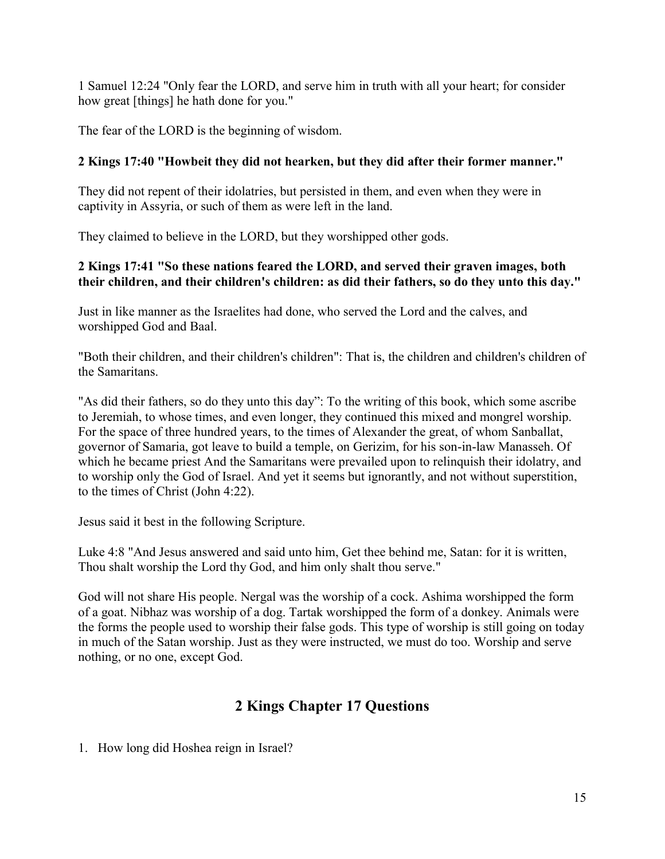1 Samuel 12:24 "Only fear the LORD, and serve him in truth with all your heart; for consider how great [things] he hath done for you."

The fear of the LORD is the beginning of wisdom.

# **2 Kings 17:40 "Howbeit they did not hearken, but they did after their former manner."**

They did not repent of their idolatries, but persisted in them, and even when they were in captivity in Assyria, or such of them as were left in the land.

They claimed to believe in the LORD, but they worshipped other gods.

# **2 Kings 17:41 "So these nations feared the LORD, and served their graven images, both their children, and their children's children: as did their fathers, so do they unto this day."**

Just in like manner as the Israelites had done, who served the Lord and the calves, and worshipped God and Baal.

"Both their children, and their children's children": That is, the children and children's children of the Samaritans.

"As did their fathers, so do they unto this day": To the writing of this book, which some ascribe to Jeremiah, to whose times, and even longer, they continued this mixed and mongrel worship. For the space of three hundred years, to the times of Alexander the great, of whom Sanballat, governor of Samaria, got leave to build a temple, on Gerizim, for his son-in-law Manasseh. Of which he became priest And the Samaritans were prevailed upon to relinquish their idolatry, and to worship only the God of Israel. And yet it seems but ignorantly, and not without superstition, to the times of Christ (John 4:22).

Jesus said it best in the following Scripture.

Luke 4:8 "And Jesus answered and said unto him, Get thee behind me, Satan: for it is written, Thou shalt worship the Lord thy God, and him only shalt thou serve."

God will not share His people. Nergal was the worship of a cock. Ashima worshipped the form of a goat. Nibhaz was worship of a dog. Tartak worshipped the form of a donkey. Animals were the forms the people used to worship their false gods. This type of worship is still going on today in much of the Satan worship. Just as they were instructed, we must do too. Worship and serve nothing, or no one, except God.

# **2 Kings Chapter 17 Questions**

1. How long did Hoshea reign in Israel?